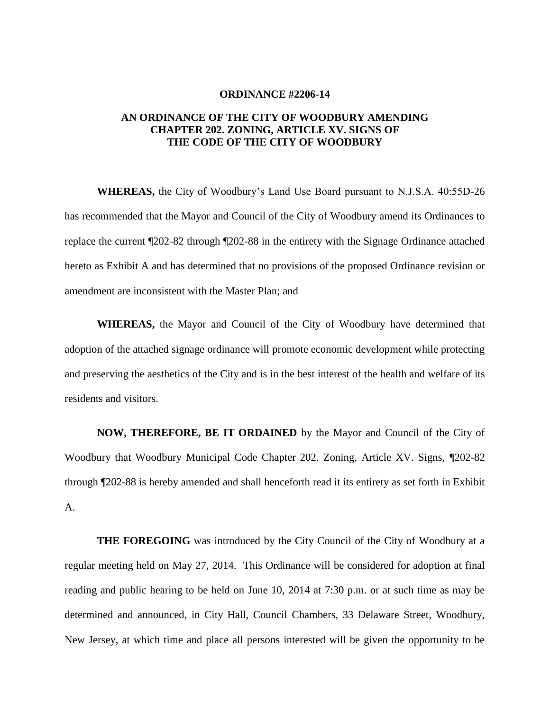## **ORDINANCE #2206-14**

## **AN ORDINANCE OF THE CITY OF WOODBURY AMENDING CHAPTER 202. ZONING, ARTICLE XV. SIGNS OF THE CODE OF THE CITY OF WOODBURY**

**WHEREAS,** the City of Woodbury's Land Use Board pursuant to N.J.S.A. 40:55D-26 has recommended that the Mayor and Council of the City of Woodbury amend its Ordinances to replace the current ¶202-82 through ¶202-88 in the entirety with the Signage Ordinance attached hereto as Exhibit A and has determined that no provisions of the proposed Ordinance revision or amendment are inconsistent with the Master Plan; and

**WHEREAS,** the Mayor and Council of the City of Woodbury have determined that adoption of the attached signage ordinance will promote economic development while protecting and preserving the aesthetics of the City and is in the best interest of the health and welfare of its residents and visitors.

**NOW, THEREFORE, BE IT ORDAINED** by the Mayor and Council of the City of Woodbury that Woodbury Municipal Code Chapter 202. Zoning, Article XV. Signs, ¶202-82 through ¶202-88 is hereby amended and shall henceforth read it its entirety as set forth in Exhibit A.

**THE FOREGOING** was introduced by the City Council of the City of Woodbury at a regular meeting held on May 27, 2014. This Ordinance will be considered for adoption at final reading and public hearing to be held on June 10, 2014 at 7:30 p.m. or at such time as may be determined and announced, in City Hall, Council Chambers, 33 Delaware Street, Woodbury, New Jersey, at which time and place all persons interested will be given the opportunity to be